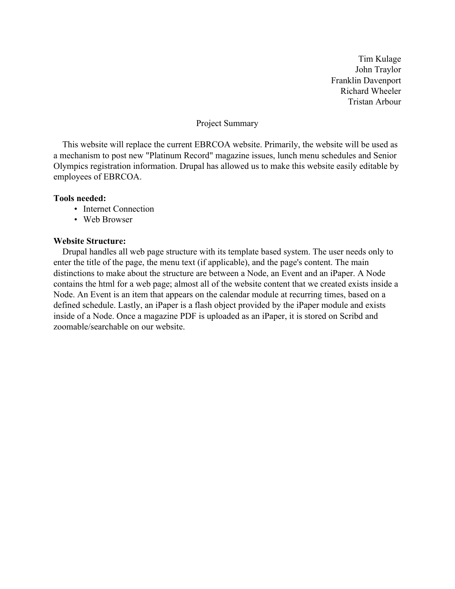## Project Summary

This website will replace the current EBRCOA website. Primarily, the website will be used as a mechanism to post new "Platinum Record" magazine issues, lunch menu schedules and Senior Olympics registration information. Drupal has allowed us to make this website easily editable by employees of EBRCOA.

## **Tools needed:**

- Internet Connection
- Web Browser

#### **Website Structure:**

Drupal handles all web page structure with its template based system. The user needs only to enter the title of the page, the menu text (if applicable), and the page's content. The main distinctions to make about the structure are between a Node, an Event and an iPaper. A Node contains the html for a web page; almost all of the website content that we created exists inside a Node. An Event is an item that appears on the calendar module at recurring times, based on a defined schedule. Lastly, an iPaper is a flash object provided by the iPaper module and exists inside of a Node. Once a magazine PDF is uploaded as an iPaper, it is stored on Scribd and zoomable/searchable on our website.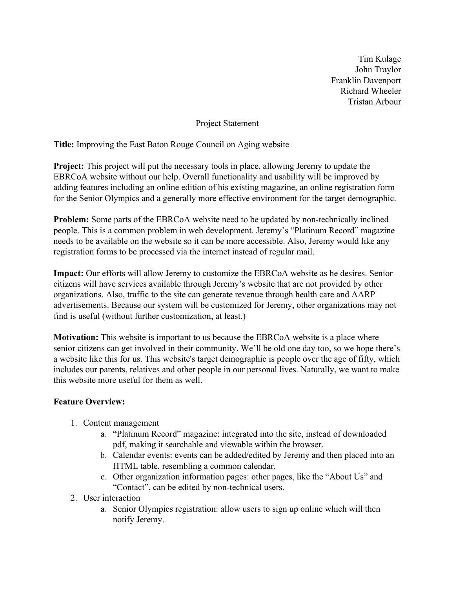Project Statement

**Title:** Improving the East Baton Rouge Council on Aging website

**Project:** This project will put the necessary tools in place, allowing Jeremy to update the EBRCoA website without our help. Overall functionality and usability will be improved by adding features including an online edition of his existing magazine, an online registration form for the Senior Olympics and a generally more effective environment for the target demographic.

**Problem:** Some parts of the EBRCoA website need to be updated by non-technically inclined people. This is a common problem in web development. Jeremy's "Platinum Record" magazine needs to be available on the website so it can be more accessible. Also, Jeremy would like any registration forms to be processed via the internet instead of regular mail.

**Impact:** Our efforts will allow Jeremy to customize the EBRCoA website as he desires. Senior citizens will have services available through Jeremy's website that are not provided by other organizations. Also, traffic to the site can generate revenue through health care and AARP advertisements. Because our system will be customized for Jeremy, other organizations may not find is useful (without further customization, at least.)

**Motivation:** This website is important to us because the EBRCoA website is a place where senior citizens can get involved in their community. We'll be old one day too, so we hope there's a website like this for us. This website's target demographic is people over the age of fifty, which includes our parents, relatives and other people in our personal lives. Naturally, we want to make this website more useful for them as well.

# **Feature Overview:**

- 1. Content management
	- a. "Platinum Record" magazine: integrated into the site, instead of downloaded pdf, making it searchable and viewable within the browser.
	- b. Calendar events: events can be added/edited by Jeremy and then placed into an HTML table, resembling a common calendar.
	- c. Other organization information pages: other pages, like the "About Us" and "Contact", can be edited by non-technical users.
- 2. User interaction
	- a. Senior Olympics registration: allow users to sign up online which will then notify Jeremy.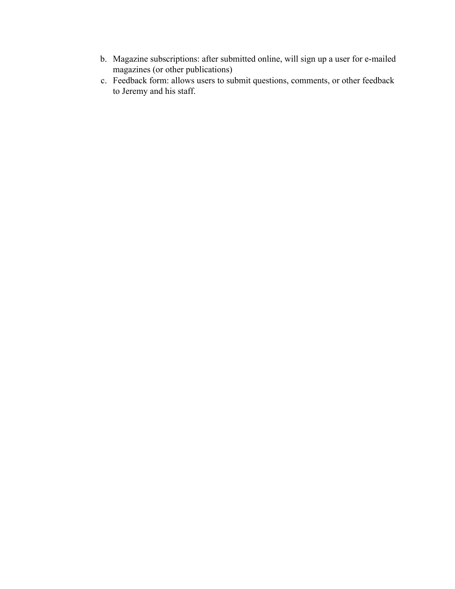- b. Magazine subscriptions: after submitted online, will sign up a user for e-mailed magazines (or other publications)
- c. Feedback form: allows users to submit questions, comments, or other feedback to Jeremy and his staff.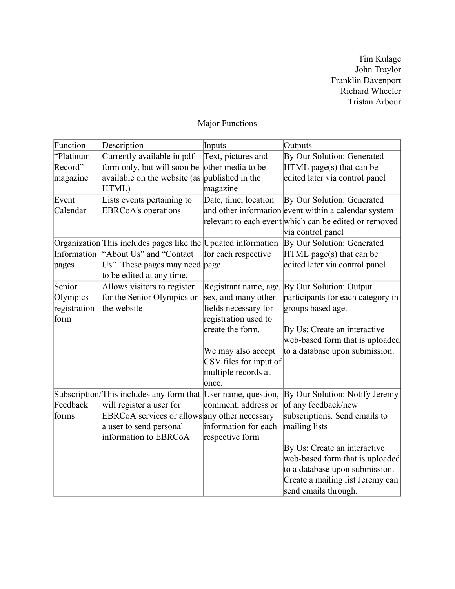# Major Functions

| Function     | Description                                                   | Inputs                 | Outputs                                               |
|--------------|---------------------------------------------------------------|------------------------|-------------------------------------------------------|
| "Platinum    | Currently available in pdf                                    | Text, pictures and     | By Our Solution: Generated                            |
| Record"      | form only, but will soon be                                   | other media to be      | $HTML$ page(s) that can be                            |
| magazine     | available on the website (as                                  | published in the       | edited later via control panel                        |
|              | HTML)                                                         | magazine               |                                                       |
| Event        | Lists events pertaining to                                    | Date, time, location   | By Our Solution: Generated                            |
| Calendar     | <b>EBRCoA's operations</b>                                    |                        | and other information event within a calendar system  |
|              |                                                               |                        | relevant to each event which can be edited or removed |
|              |                                                               |                        | via control panel                                     |
|              | Organization This includes pages like the Updated information |                        | By Our Solution: Generated                            |
| Information  | "About Us" and "Contact"                                      | for each respective    | $HTML$ page(s) that can be                            |
| pages        | Us". These pages may need page                                |                        | edited later via control panel                        |
|              | to be edited at any time.                                     |                        |                                                       |
| Senior       | Allows visitors to register                                   | Registrant name, age,  | By Our Solution: Output                               |
| Olympics     | for the Senior Olympics on                                    | sex, and many other    | participants for each category in                     |
| registration | the website                                                   | fields necessary for   | groups based age.                                     |
| form         |                                                               | registration used to   |                                                       |
|              |                                                               | create the form.       | By Us: Create an interactive                          |
|              |                                                               |                        | web-based form that is uploaded                       |
|              |                                                               | We may also accept     | to a database upon submission.                        |
|              |                                                               | CSV files for input of |                                                       |
|              |                                                               | multiple records at    |                                                       |
|              |                                                               | once.                  |                                                       |
|              | Subscription/This includes any form that User name, question, |                        | By Our Solution: Notify Jeremy                        |
| Feedback     | will register a user for                                      | comment, address or    | of any feedback/new                                   |
| forms        | EBRCoA services or allows any other necessary                 |                        | subscriptions. Send emails to                         |
|              | a user to send personal                                       | information for each   | mailing lists                                         |
|              | information to EBRCoA                                         | respective form        |                                                       |
|              |                                                               |                        | By Us: Create an interactive                          |
|              |                                                               |                        | web-based form that is uploaded                       |
|              |                                                               |                        | to a database upon submission.                        |
|              |                                                               |                        | Create a mailing list Jeremy can                      |
|              |                                                               |                        | send emails through.                                  |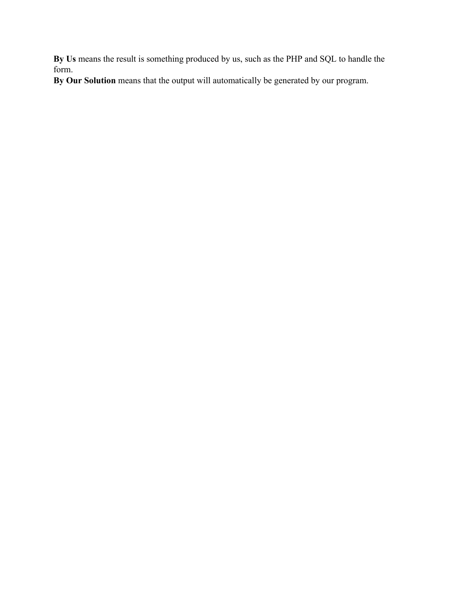**By Us** means the result is something produced by us, such as the PHP and SQL to handle the form.

**By Our Solution** means that the output will automatically be generated by our program.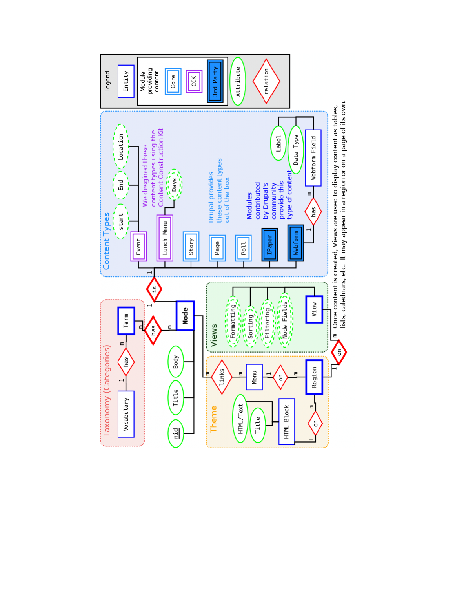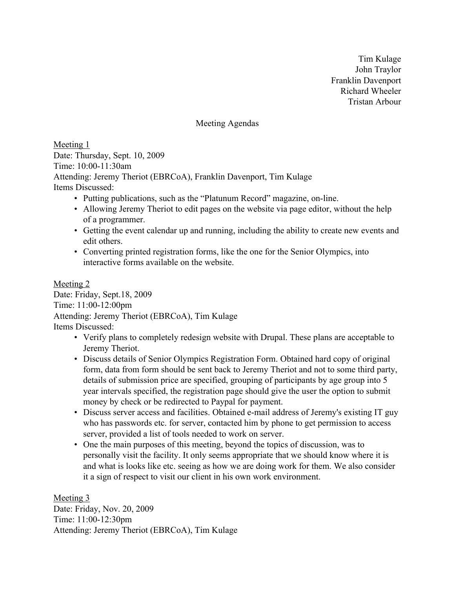Meeting Agendas

Meeting 1 Date: Thursday, Sept. 10, 2009 Time: 10:00-11:30am Attending: Jeremy Theriot (EBRCoA), Franklin Davenport, Tim Kulage Items Discussed:

- Putting publications, such as the "Platunum Record" magazine, on-line.
- Allowing Jeremy Theriot to edit pages on the website via page editor, without the help of a programmer.
- Getting the event calendar up and running, including the ability to create new events and edit others.
- Converting printed registration forms, like the one for the Senior Olympics, into interactive forms available on the website.

Meeting 2 Date: Friday, Sept.18, 2009 Time: 11:00-12:00pm Attending: Jeremy Theriot (EBRCoA), Tim Kulage Items Discussed:

- Verify plans to completely redesign website with Drupal. These plans are acceptable to Jeremy Theriot.
- Discuss details of Senior Olympics Registration Form. Obtained hard copy of original form, data from form should be sent back to Jeremy Theriot and not to some third party, details of submission price are specified, grouping of participants by age group into 5 year intervals specified, the registration page should give the user the option to submit money by check or be redirected to Paypal for payment.
- Discuss server access and facilities. Obtained e-mail address of Jeremy's existing IT guy who has passwords etc. for server, contacted him by phone to get permission to access server, provided a list of tools needed to work on server.
- One the main purposes of this meeting, beyond the topics of discussion, was to personally visit the facility. It only seems appropriate that we should know where it is and what is looks like etc. seeing as how we are doing work for them. We also consider it a sign of respect to visit our client in his own work environment.

Meeting 3 Date: Friday, Nov. 20, 2009 Time: 11:00-12:30pm Attending: Jeremy Theriot (EBRCoA), Tim Kulage